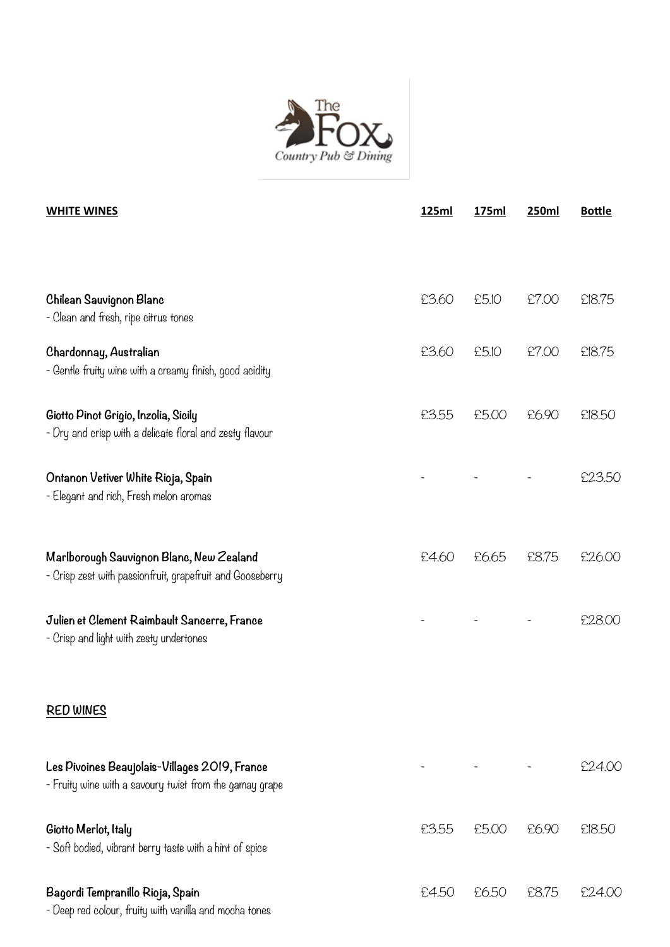

| <b>WHITE WINES</b>                                                                                       | 125ml | 175ml | <b>250ml</b> | <b>Bottle</b> |
|----------------------------------------------------------------------------------------------------------|-------|-------|--------------|---------------|
|                                                                                                          |       |       |              |               |
| Chilean Sauvignon Blanc<br>- Clean and fresh, ripe citrus tones                                          | £3.60 | £5.10 | £7.00        | £18.75        |
| Chardonnay, Australian<br>- Gentle fruity wine with a creamy finish, good acidity                        | £3.60 | £5.10 | £7.00        | £18.75        |
| Giotto Pinot Grigio, Inzolia, Sicily<br>- Dry and crisp with a delicate floral and zesty flavour         | £3.55 | £5.00 | £6.90        | £18.50        |
| Ontanon Vetiver White Rioja, Spain<br>- Elegant and rich, Fresh melon aromas                             |       |       |              | £23.50        |
| Marlborough Sauvignon Blanc, New Zealand<br>- Crisp zest with passionfruit, grapefruit and Gooseberry    | £4.60 | £6.65 | £8.75        | £26.00        |
| Julien et Clement Raimbault Sancerre, France<br>- Crisp and light with zesty undertones                  |       |       |              | £28.00        |
| <b>RED WINES</b>                                                                                         |       |       |              |               |
| Les Pivoines Beaujolais-Villages 2019, France<br>- Fruity wine with a savoury twist from the gamay grape |       |       |              | £24.00        |
| Giotto Merlot, Italy<br>- Soft bodied, vibrant berry taste with a hint of spice                          | £3.55 | £5.00 | £6.90        | £18.50        |
| Bagordi Tempranillo Rioja, Spain<br>Deep nod oglavn faville with varille and mooks topes                 | £4.50 | £6.50 | £8.75        | £24.00        |

- Deep red colour, fruity with vanilla and mocha tones